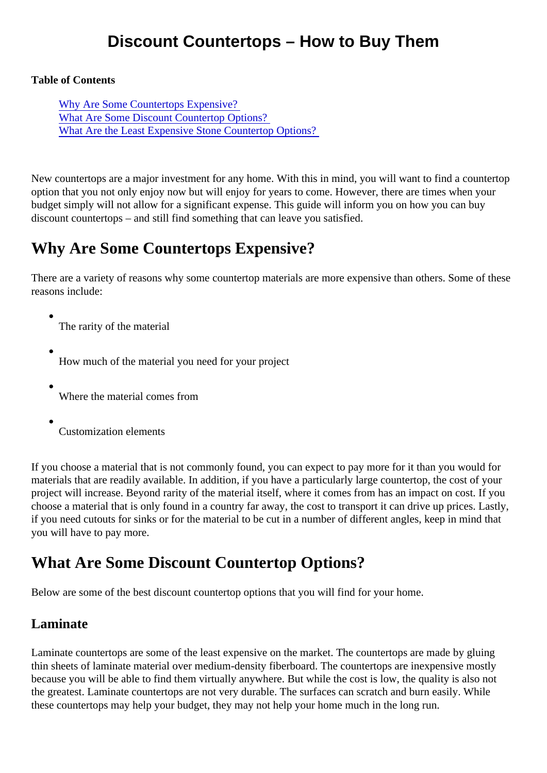### Discount Countertops – How to Buy Them

Table of Contents

Why Are Some Countertops Expensive? What Are Some Discount Countertop Options? [What Are the Least Expensive Stone Countertop Opti](#page-1-0)ons?

New countertops are a major investment for any home. With this in mind, you will want to find a countertop option that you not only enjoy now but will enjoy for years to come. However, there are times when your budget simply will not allow for a significant expense. This guide will inform you on how you can buy discount countertops – and still find something that can leave you satisfied.

# Why Are Some Countertops Expensive?

There are a variety of reasons why some countertop materials are more expensive than others. Some of the reasons include:

- The rarity of the material
- How much of the material you need for your project
- Where the material comes from
- Customization elements

If you choose a material that is not commonly found, you can expect to pay more for it than you would for materials that are readily available. In addition, if you have a particularly large countertop, the cost of your project will increase. Beyond rarity of the material itself, where it comes from has an impact on cost. If you choose a material that is only found in a country far away, the cost to transport it can drive up prices. Lastl if you need cutouts for sinks or for the material to be cut in a number of different angles, keep in mind that you will have to pay more.

# What Are Some Discount Countertop Options?

Below are some of the best discount countertop options that you will find for your home.

#### Laminate

Laminate countertops are some of the least expensive on the market. The countertops are made by gluing thin sheets of laminate material over medium-density fiberboard. The countertops are inexpensive mostly because you will be able to find them virtually anywhere. But while the cost is low, the quality is also not the greatest. Laminate countertops are not very durable. The surfaces can scratch and burn easily. While these countertops may help your budget, they may not help your home much in the long run.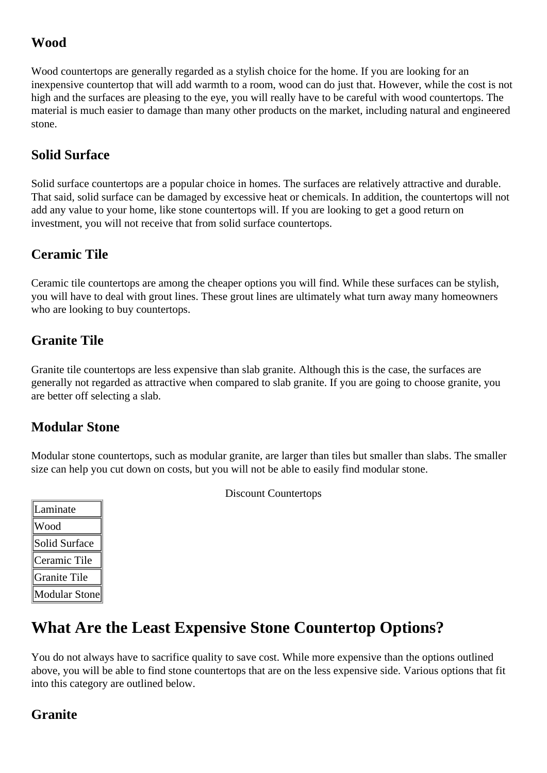#### <span id="page-1-0"></span>**Wood**

Wood countertops are generally regarded as a stylish choice for the home. If you are looking for an inexpensive countertop that will add warmth to a room, wood can do just that. However, while the cost is not high and the surfaces are pleasing to the eye, you will really have to be careful with wood countertops. The material is much easier to damage than many other products on the market, including natural and engineered stone.

#### **Solid Surface**

Solid surface countertops are a popular choice in homes. The surfaces are relatively attractive and durable. That said, solid surface can be damaged by excessive heat or chemicals. In addition, the countertops will not add any value to your home, like stone countertops will. If you are looking to get a good return on investment, you will not receive that from solid surface countertops.

### **Ceramic Tile**

Ceramic tile countertops are among the cheaper options you will find. While these surfaces can be stylish, you will have to deal with grout lines. These grout lines are ultimately what turn away many homeowners who are looking to buy countertops.

### **Granite Tile**

Granite tile countertops are less expensive than slab granite. Although this is the case, the surfaces are generally not regarded as attractive when compared to slab granite. If you are going to choose granite, you are better off selecting a slab.

### **Modular Stone**

Modular stone countertops, such as modular granite, are larger than tiles but smaller than slabs. The smaller size can help you cut down on costs, but you will not be able to easily find modular stone.

| Laminate             |
|----------------------|
| Wood                 |
| Solid Surface        |
| Ceramic Tile         |
| Granite Tile         |
| <b>Modular Stone</b> |

Discount Countertops

# **What Are the Least Expensive Stone Countertop Options?**

You do not always have to sacrifice quality to save cost. While more expensive than the options outlined above, you will be able to find stone countertops that are on the less expensive side. Various options that fit into this category are outlined below.

### **Granite**